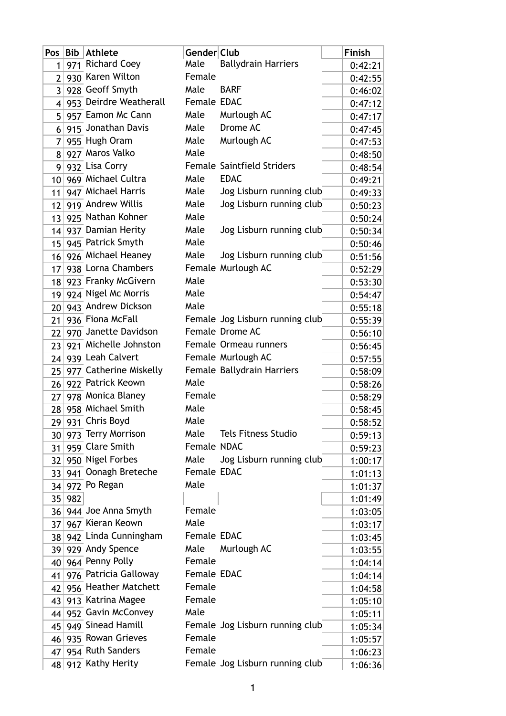| Pos $ $         | Bib | <b>Athlete</b>         | Gender Club |                                   | Finish  |
|-----------------|-----|------------------------|-------------|-----------------------------------|---------|
| 1               |     | 971 Richard Coey       | Male        | <b>Ballydrain Harriers</b>        | 0:42:21 |
| 2 <sup>1</sup>  |     | 930 Karen Wilton       | Female      |                                   | 0:42:55 |
| 3 <sup>1</sup>  |     | 928 Geoff Smyth        | Male        | <b>BARF</b>                       | 0:46:02 |
| 4 <sup>1</sup>  |     | 953 Deirdre Weatherall | Female EDAC |                                   | 0:47:12 |
| 5 <sup>1</sup>  |     | 957 Eamon Mc Cann      | Male        | Murlough AC                       | 0:47:17 |
| 6 <sup>1</sup>  |     | 915 Jonathan Davis     | Male        | Drome AC                          | 0:47:45 |
| 7               |     | 955 Hugh Oram          | Male        | Murlough AC                       | 0:47:53 |
| 81              |     | 927 Maros Valko        | Male        |                                   | 0:48:50 |
| 9               |     | 932 Lisa Corry         |             | <b>Female Saintfield Striders</b> | 0:48:54 |
| 10 <sup>1</sup> |     | 969 Michael Cultra     | Male        | <b>EDAC</b>                       | 0:49:21 |
| 11              |     | 947 Michael Harris     | Male        | Jog Lisburn running club          | 0:49:33 |
| 12              |     | 919 Andrew Willis      | Male        | Jog Lisburn running club          | 0:50:23 |
| 13 <sup>1</sup> |     | 925 Nathan Kohner      | Male        |                                   | 0:50:24 |
| 14              |     | 937 Damian Herity      | Male        | Jog Lisburn running club          | 0:50:34 |
| 15 <sup>2</sup> |     | 945 Patrick Smyth      | Male        |                                   | 0:50:46 |
| 16              |     | 926 Michael Heaney     | Male        | Jog Lisburn running club          | 0:51:56 |
| 17              |     | 938 Lorna Chambers     |             | Female Murlough AC                | 0:52:29 |
| 18              |     | 923 Franky McGivern    | Male        |                                   | 0:53:30 |
| 19              |     | 924 Nigel Mc Morris    | Male        |                                   | 0:54:47 |
| 20              |     | 943 Andrew Dickson     | Male        |                                   | 0:55:18 |
| 21              |     | 936 Fiona McFall       |             | Female Jog Lisburn running club   | 0:55:39 |
| 22              |     | 970 Janette Davidson   |             | Female Drome AC                   | 0:56:10 |
| 23              |     | 921 Michelle Johnston  |             | Female Ormeau runners             | 0:56:45 |
| 24              |     | 939 Leah Calvert       |             | Female Murlough AC                | 0:57:55 |
| 25 <sup>2</sup> |     | 977 Catherine Miskelly |             | Female Ballydrain Harriers        | 0:58:09 |
| 26 <sup>2</sup> |     | 922 Patrick Keown      | Male        |                                   | 0:58:26 |
| 27              |     | 978 Monica Blaney      | Female      |                                   | 0:58:29 |
| 28 <sup>2</sup> |     | 958 Michael Smith      | Male        |                                   | 0:58:45 |
| 29              |     | 931 Chris Boyd         | Male        |                                   | 0:58:52 |
|                 |     | 30 973 Terry Morrison  | Male        | <b>Tels Fitness Studio</b>        | 0:59:13 |
| 31              |     | 959 Clare Smith        | Female NDAC |                                   | 0:59:23 |
| 32 <sup>2</sup> |     | 950 Nigel Forbes       | Male        | Jog Lisburn running club          | 1:00:17 |
| $33$            |     | 941 Oonagh Breteche    | Female EDAC |                                   | 1:01:13 |
| 34              |     | 972 Po Regan           | Male        |                                   | 1:01:37 |
| 35              | 982 |                        |             |                                   | 1:01:49 |
| 36 <sup>2</sup> |     | 944 Joe Anna Smyth     | Female      |                                   | 1:03:05 |
| 37 <sup>1</sup> |     | 967 Kieran Keown       | Male        |                                   | 1:03:17 |
| 38              |     | 942 Linda Cunningham   | Female EDAC |                                   | 1:03:45 |
| 39 <sup>2</sup> |     | 929 Andy Spence        | Male        | Murlough AC                       | 1:03:55 |
| 40              |     | 964 Penny Polly        | Female      |                                   | 1:04:14 |
| 41              |     | 976 Patricia Galloway  | Female EDAC |                                   | 1:04:14 |
| 42              |     | 956 Heather Matchett   | Female      |                                   | 1:04:58 |
| 43              |     | 913 Katrina Magee      | Female      |                                   | 1:05:10 |
| 44              |     | 952 Gavin McConvey     | Male        |                                   | 1:05:11 |
| 45 <sup>2</sup> |     | 949 Sinead Hamill      |             | Female Jog Lisburn running club   | 1:05:34 |
| 46              |     | 935 Rowan Grieves      | Female      |                                   | 1:05:57 |
| 47              |     | 954 Ruth Sanders       | Female      |                                   | 1:06:23 |
|                 |     | 48 912 Kathy Herity    |             | Female Jog Lisburn running club   | 1:06:36 |